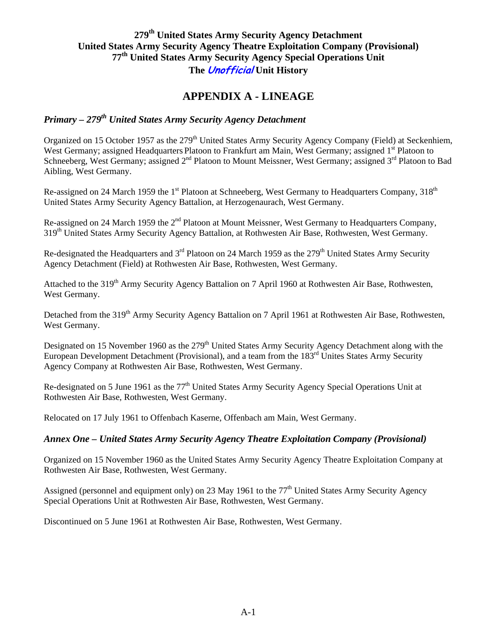### **279th United States Army Security Agency Detachment United States Army Security Agency Theatre Exploitation Company (Provisional) 77th United States Army Security Agency Special Operations Unit The Unofficial Unit History**

## **APPENDIX A - LINEAGE**

# *Primary – 279th United States Army Security Agency Detachment*

Organized on 15 October 1957 as the 279<sup>th</sup> United States Army Security Agency Company (Field) at Seckenhiem, West Germany; assigned Headquarters Platoon to Frankfurt am Main, West Germany; assigned 1<sup>st</sup> Platoon to Schneeberg, West Germany; assigned 2<sup>nd</sup> Platoon to Mount Meissner, West Germany; assigned 3<sup>rd</sup> Platoon to Bad Aibling, West Germany.

Re-assigned on 24 March 1959 the 1<sup>st</sup> Platoon at Schneeberg, West Germany to Headquarters Company, 318<sup>th</sup> United States Army Security Agency Battalion, at Herzogenaurach, West Germany.

Re-assigned on 24 March 1959 the 2<sup>nd</sup> Platoon at Mount Meissner, West Germany to Headquarters Company, 319<sup>th</sup> United States Army Security Agency Battalion, at Rothwesten Air Base, Rothwesten, West Germany.

Re-designated the Headquarters and 3<sup>rd</sup> Platoon on 24 March 1959 as the 279<sup>th</sup> United States Army Security Agency Detachment (Field) at Rothwesten Air Base, Rothwesten, West Germany.

Attached to the 319<sup>th</sup> Army Security Agency Battalion on 7 April 1960 at Rothwesten Air Base, Rothwesten, West Germany.

Detached from the 319<sup>th</sup> Army Security Agency Battalion on 7 April 1961 at Rothwesten Air Base, Rothwesten, West Germany.

Designated on 15 November 1960 as the 279<sup>th</sup> United States Army Security Agency Detachment along with the European Development Detachment (Provisional), and a team from the 183<sup>rd</sup> Unites States Army Security Agency Company at Rothwesten Air Base, Rothwesten, West Germany.

Re-designated on 5 June 1961 as the 77<sup>th</sup> United States Army Security Agency Special Operations Unit at Rothwesten Air Base, Rothwesten, West Germany.

Relocated on 17 July 1961 to Offenbach Kaserne, Offenbach am Main, West Germany.

#### *Annex One – United States Army Security Agency Theatre Exploitation Company (Provisional)*

Organized on 15 November 1960 as the United States Army Security Agency Theatre Exploitation Company at Rothwesten Air Base, Rothwesten, West Germany.

Assigned (personnel and equipment only) on 23 May 1961 to the 77<sup>th</sup> United States Army Security Agency Special Operations Unit at Rothwesten Air Base, Rothwesten, West Germany.

Discontinued on 5 June 1961 at Rothwesten Air Base, Rothwesten, West Germany.